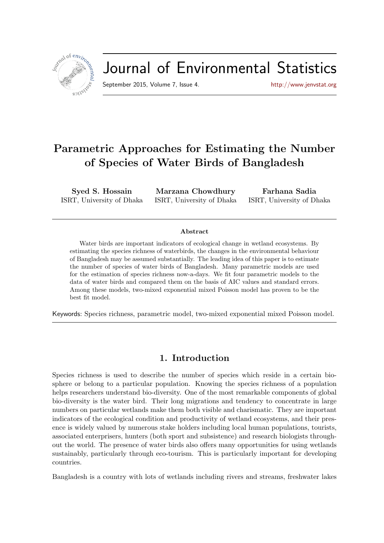

# Journal of Environmental Statistics

September 2015, Volume 7, Issue 4. <http://www.jenvstat.org>

## Parametric Approaches for Estimating the Number of Species of Water Birds of Bangladesh

Syed S. Hossain ISRT, University of Dhaka

Marzana Chowdhury ISRT, University of Dhaka

Farhana Sadia ISRT, University of Dhaka

#### Abstract

Water birds are important indicators of ecological change in wetland ecosystems. By estimating the species richness of waterbirds, the changes in the environmental behaviour of Bangladesh may be assumed substantially. The leading idea of this paper is to estimate the number of species of water birds of Bangladesh. Many parametric models are used for the estimation of species richness now-a-days. We fit four parametric models to the data of water birds and compared them on the basis of AIC values and standard errors. Among these models, two-mixed exponential mixed Poisson model has proven to be the best fit model.

Keywords: Species richness, parametric model, two-mixed exponential mixed Poisson model.

## 1. Introduction

Species richness is used to describe the number of species which reside in a certain biosphere or belong to a particular population. Knowing the species richness of a population helps researchers understand bio-diversity. One of the most remarkable components of global bio-diversity is the water bird. Their long migrations and tendency to concentrate in large numbers on particular wetlands make them both visible and charismatic. They are important indicators of the ecological condition and productivity of wetland ecosystems, and their presence is widely valued by numerous stake holders including local human populations, tourists, associated enterprisers, hunters (both sport and subsistence) and research biologists throughout the world. The presence of water birds also offers many opportunities for using wetlands sustainably, particularly through eco-tourism. This is particularly important for developing countries.

Bangladesh is a country with lots of wetlands including rivers and streams, freshwater lakes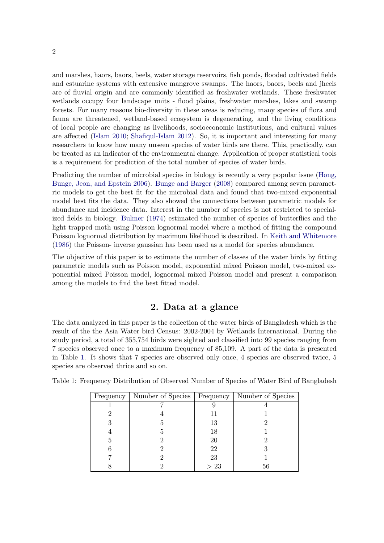and marshes, haors, baors, beels, water storage reservoirs, fish ponds, flooded cultivated fields and estuarine systems with extensive mangrove swamps. The haors, baors, beels and jheels are of fluvial origin and are commonly identified as freshwater wetlands. These freshwater wetlands occupy four landscape units - flood plains, freshwater marshes, lakes and swamp forests. For many reasons bio-diversity in these areas is reducing, many species of flora and fauna are threatened, wetland-based ecosystem is degenerating, and the living conditions of local people are changing as livelihoods, socioeconomic institutions, and cultural values are affected [\(Islam](#page-11-0) [2010;](#page-11-0) [Shafiqul-Islam](#page-11-1) [2012\)](#page-11-1). So, it is important and interesting for many researchers to know how many unseen species of water birds are there. This, practically, can be treated as an indicator of the environmental change. Application of proper statistical tools is a requirement for prediction of the total number of species of water birds.

Predicting the number of microbial species in biology is recently a very popular issue [\(Hong,](#page-11-2) [Bunge, Jeon, and Epstein](#page-11-2) [2006\)](#page-11-2). [Bunge and Barger](#page-11-3) [\(2008\)](#page-11-3) compared among seven parametric models to get the best fit for the microbial data and found that two-mixed exponential model best fits the data. They also showed the connections between parametric models for abundance and incidence data. Interest in the number of species is not restricted to specialized fields in biology. [Bulmer](#page-11-4) [\(1974\)](#page-11-4) estimated the number of species of butterflies and the light trapped moth using Poisson lognormal model where a method of fitting the compound Poisson lognormal distribution by maximum likelihood is described. In [Keith and Whitemore](#page-11-5) [\(1986\)](#page-11-5) the Poisson- inverse gaussian has been used as a model for species abundance.

The objective of this paper is to estimate the number of classes of the water birds by fitting parametric models such as Poisson model, exponential mixed Poisson model, two-mixed exponential mixed Poisson model, lognormal mixed Poisson model and present a comparison among the models to find the best fitted model.

## 2. Data at a glance

The data analyzed in this paper is the collection of the water birds of Bangladesh which is the result of the the Asia Water bird Census: 2002-2004 by Wetlands International. During the study period, a total of 355,754 birds were sighted and classified into 99 species ranging from 7 species observed once to a maximum frequency of 85,109. A part of the data is presented in Table [1.](#page-1-0) It shows that 7 species are observed only once, 4 species are observed twice, 5 species are observed thrice and so on.

| Frequency | Number of Species |     | Frequency   Number of Species |
|-----------|-------------------|-----|-------------------------------|
|           |                   |     |                               |
|           |                   | 11  |                               |
| 3         |                   | 13  |                               |
|           |                   | 18  |                               |
| 5         |                   | 20  |                               |
|           |                   | 22  |                               |
|           |                   | 23  |                               |
|           |                   | >23 | 56                            |

<span id="page-1-0"></span>Table 1: Frequency Distribution of Observed Number of Species of Water Bird of Bangladesh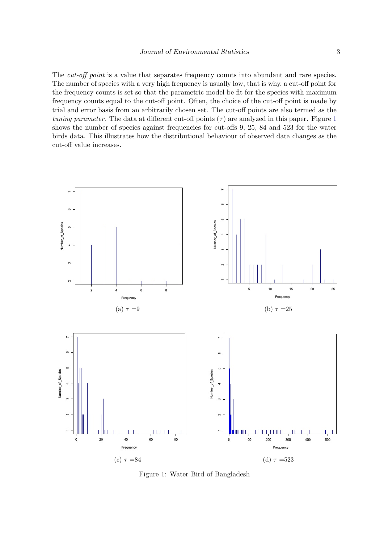The *cut-off point* is a value that separates frequency counts into abundant and rare species. The number of species with a very high frequency is usually low, that is why, a cut-off point for the frequency counts is set so that the parametric model be fit for the species with maximum frequency counts equal to the cut-off point. Often, the choice of the cut-off point is made by trial and error basis from an arbitrarily chosen set. The cut-off points are also termed as the tuning parameter. The data at different cut-off points  $(\tau)$  are analyzed in this paper. Figure [1](#page-2-0) shows the number of species against frequencies for cut-offs 9, 25, 84 and 523 for the water birds data. This illustrates how the distributional behaviour of observed data changes as the cut-off value increases.

<span id="page-2-0"></span>

Figure 1: Water Bird of Bangladesh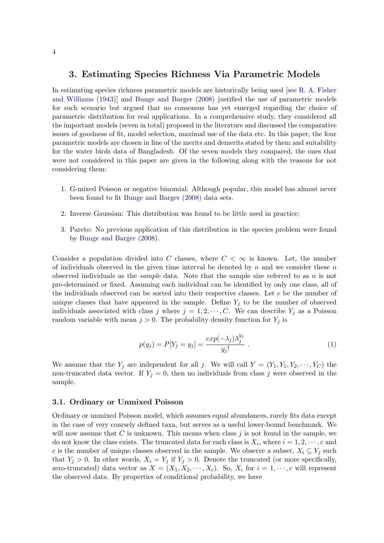### 3. Estimating Species Richness Via Parametric Models

In estimating species richness parametric models are historically being used [see [R. A. Fisher](#page-11-6) [and Williams](#page-11-6) [\(1943\)](#page-11-6)] and [Bunge and Barger](#page-11-3) [\(2008\)](#page-11-3) justified the use of parametric models for such scenario but argued that no consensus has yet emerged regarding the choice of parametric distribution for real applications. In a comprehensive study, they considered all the important models (seven in total) proposed in the literature and discussed the comparative issues of goodness of fit, model selection, maximal use of the data etc. In this paper, the four parametric models are chosen in line of the merits and demerits stated by them and suitability for the water birds data of Bangladesh. Of the seven models they compared, the ones that were not considered in this paper are given in the following along with the reasons for not considering them:

- 1. G-mixed Poisson or negative binomial: Although popular, this model has almost never been found to fit [Bunge and Barger](#page-11-3) [\(2008\)](#page-11-3) data sets.
- 2. Inverse Gaussian: This distribution was found to be little used in practice;
- 3. Pareto: No previous application of this distribution in the species problem were found by [Bunge and Barger](#page-11-3) [\(2008\)](#page-11-3).

Consider a population divided into C classes, where  $C < \infty$  is known. Let, the number of individuals observed in the given time interval be denoted by  $n$  and we consider these  $n$ observed individuals as the *sample* data. Note that the sample size referred to as n is not pre-determined or fixed. Assuming each individual can be identified by only one class, all of the individuals observed can be sorted into their respective classes. Let  $c$  be the number of unique classes that have appeared in the sample. Define  $Y_j$  to be the number of observed individuals associated with class j where  $j = 1, 2, \dots, C$ . We can describe  $Y_j$  as a Poisson random variable with mean  $j > 0$ . The probability density function for  $Y_j$  is

$$
p(y_j) = P[Y_j = y_j] = \frac{exp(-\lambda_j)\lambda_j^{y_j}}{y_j!}.
$$
\n(1)

We assume that the  $Y_j$  are independent for all j. We will call  $Y = (Y_1, Y_1, Y_2, \dots, Y_C)$  the non-truncated data vector. If  $Y_j = 0$ , then no individuals from class j were observed in the sample.

#### 3.1. Ordinary or Unmixed Poisson

Ordinary or unmixed Poisson model, which assumes equal abundances, rarely fits data except in the case of very coarsely defined taxa, but serves as a useful lower-bound benchmark. We will now assume that  $C$  is unknown. This means when class  $j$  is not found in the sample, we do not know the class exists. The truncated data for each class is  $X_i$ , where  $i = 1, 2, \dots, c$  and c is the number of unique classes observed in the sample. We observe a subset,  $X_i \subseteq Y_j$  such that  $Y_j > 0$ . In other words,  $X_i = Y_j$  if  $Y_j > 0$ . Denote the truncated (or more specifically, zero-truncated) data vector as  $X = (X_1, X_2, \dots, X_c)$ . So,  $X_i$  for  $i = 1, \dots, c$  will represent the observed data. By properties of conditional probability, we have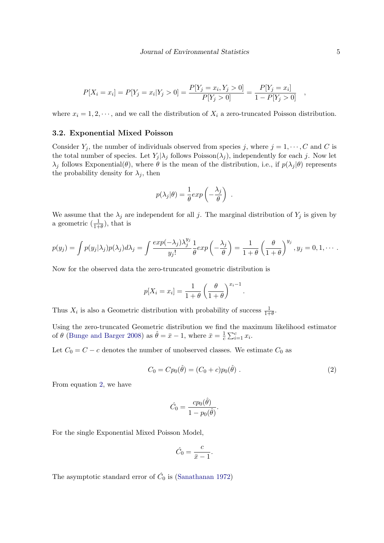$$
P[X_i = x_i] = P[Y_j = x_i | Y_j > 0] = \frac{P[Y_j = x_i, Y_j > 0]}{P[Y_j > 0]} = \frac{P[Y_j = x_i]}{1 - P[Y_j > 0]},
$$

where  $x_i = 1, 2, \dots$ , and we call the distribution of  $X_i$  a zero-truncated Poisson distribution.

#### 3.2. Exponential Mixed Poisson

Consider  $Y_j$ , the number of individuals observed from species j, where  $j = 1, \dots, C$  and C is the total number of species. Let  $Y_j | \lambda_j$  follows Poisson( $\lambda_j$ ), independently for each j. Now let  $\lambda_j$  follows Exponential( $\theta$ ), where  $\theta$  is the mean of the distribution, i.e., if  $p(\lambda_j|\theta)$  represents the probability density for  $\lambda_j$ , then

$$
p(\lambda_j|\theta) = \frac{1}{\theta} exp\left(-\frac{\lambda_j}{\theta}\right) .
$$

We assume that the  $\lambda_j$  are independent for all j. The marginal distribution of  $Y_j$  is given by a geometric  $(\frac{1}{1+\theta})$ , that is

$$
p(y_j) = \int p(y_j|\lambda_j)p(\lambda_j)d\lambda_j = \int \frac{exp(-\lambda_j)\lambda_j^{y_j}}{y_j!} \frac{1}{\theta}exp\left(-\frac{\lambda_j}{\theta}\right) = \frac{1}{1+\theta}\left(\frac{\theta}{1+\theta}\right)^{y_j}, y_j = 0, 1, \cdots.
$$

Now for the observed data the zero-truncated geometric distribution is

$$
p[X_i = x_i] = \frac{1}{1+\theta} \left(\frac{\theta}{1+\theta}\right)^{x_i-1}.
$$

Thus  $X_i$  is also a Geometric distribution with probability of success  $\frac{1}{1+\theta}$ .

Using the zero-truncated Geometric distribution we find the maximum likelihood estimator of  $\theta$  [\(Bunge and Barger](#page-11-3) [2008\)](#page-11-3) as  $\hat{\theta} = \bar{x} - 1$ , where  $\bar{x} = \frac{1}{c}$  $\frac{1}{c}\sum_{i=1}^{c}x_i$ .

Let  $C_0 = C - c$  denotes the number of unobserved classes. We estimate  $C_0$  as

<span id="page-4-0"></span>
$$
C_0 = Cp_0(\hat{\theta}) = (C_0 + c)p_0(\hat{\theta}).
$$
\n(2)

From equation [2,](#page-4-0) we have

$$
\hat{C}_0 = \frac{cp_0(\hat{\theta})}{1 - p_0(\hat{\theta})}.
$$

For the single Exponential Mixed Poisson Model,

$$
\hat{C}_0 = \frac{c}{\bar{x} - 1}.
$$

The asymptotic standard error of  $\hat{C}_0$  is [\(Sanathanan](#page-11-7) [1972\)](#page-11-7)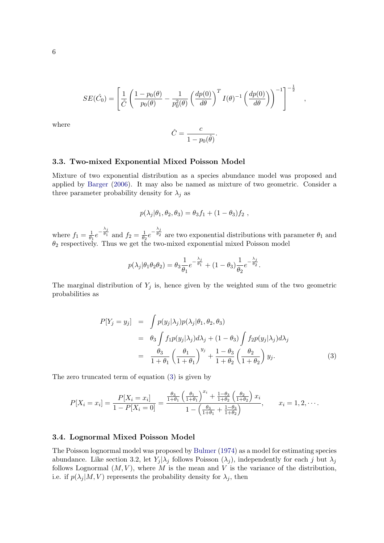$$
SE(\hat{C}_0) = \left[ \frac{1}{\hat{C}} \left( \frac{1 - p_0(\theta)}{p_0(\theta)} - \frac{1}{p_0^2(\theta)} \left( \frac{dp(0)}{d\theta} \right)^T I(\theta)^{-1} \left( \frac{dp(0)}{d\theta} \right) \right)^{-1} \right]^{-\frac{1}{2}},
$$

where

$$
\hat{C} = \frac{c}{1 - p_0(\hat{\theta})}
$$

.

#### 3.3. Two-mixed Exponential Mixed Poisson Model

Mixture of two exponential distribution as a species abundance model was proposed and applied by [Barger](#page-11-8) [\(2006\)](#page-11-8). It may also be named as mixture of two geometric. Consider a three parameter probability density for  $\lambda_j$  as

$$
p(\lambda_j|\theta_1,\theta_2,\theta_3)=\theta_3f_1+(1-\theta_3)f_2,
$$

where  $f_1 = \frac{1}{\theta_1}$  $\frac{1}{\theta_1}e^{-\frac{\lambda_j}{\theta_1}}$  and  $f_2=\frac{1}{\theta_2}$  $\frac{1}{\theta_2}e^{-\frac{\lambda_j}{\theta_2}}$  are two exponential distributions with parameter  $\theta_1$  and  $\theta_2$  respectively. Thus we get the two-mixed exponential mixed Poisson model

$$
p(\lambda_j|\theta_1\theta_2\theta_2)=\theta_3\frac{1}{\theta_1}e^{-\frac{\lambda_j}{\theta_1}}+(1-\theta_3)\frac{1}{\theta_2}e^{-\frac{\lambda_j}{\theta_2}}.
$$

The marginal distribution of  $Y_j$  is, hence given by the weighted sum of the two geometric probabilities as

<span id="page-5-0"></span>
$$
P[Y_j = y_j] = \int p(y_j | \lambda_j) p(\lambda_j | \theta_1, \theta_2, \theta_3)
$$
  
=  $\theta_3 \int f_1 p(y_j | \lambda_j) d\lambda_j + (1 - \theta_3) \int f_2 p(y_j | \lambda_j) d\lambda_j$   
=  $\frac{\theta_3}{1 + \theta_1} \left(\frac{\theta_1}{1 + \theta_1}\right)^{y_j} + \frac{1 - \theta_3}{1 + \theta_2} \left(\frac{\theta_2}{1 + \theta_2}\right) y_j.$  (3)

The zero truncated term of equation [\(3\)](#page-5-0) is given by

$$
P[X_i = x_i] = \frac{P[X_i = x_i]}{1 - P[X_i = 0]} = \frac{\frac{\theta_3}{1 + \theta_1} \left(\frac{\theta_1}{1 + \theta_1}\right)^{x_i} + \frac{1 - \theta_3}{1 + \theta_2} \left(\frac{\theta_2}{1 + \theta_2}\right) x_i}{1 - \left(\frac{\theta_3}{1 + \theta_1} + \frac{1 - \theta_3}{1 + \theta_2}\right)}, \qquad x_i = 1, 2, \cdots.
$$

#### 3.4. Lognormal Mixed Poisson Model

The Poisson lognormal model was proposed by [Bulmer](#page-11-4) [\(1974\)](#page-11-4) as a model for estimating species abundance. Like section 3.2, let  $Y_i | \lambda_i$  follows Poisson  $(\lambda_i)$ , independently for each j but  $\lambda_i$ follows Lognormal  $(M, V)$ , where M is the mean and V is the variance of the distribution, i.e. if  $p(\lambda_i | M, V)$  represents the probability density for  $\lambda_i$ , then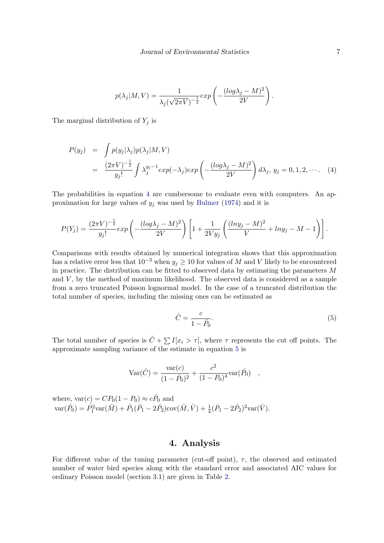$$
p(\lambda_j|M,V) = \frac{1}{\lambda_j(\sqrt{2\pi V})^{-\frac{1}{2}}} exp\left(-\frac{(log\lambda_j - M)^2}{2V}\right).
$$

The marginal distribution of  $Y_j$  is

<span id="page-6-0"></span>
$$
P(y_j) = \int p(y_j|\lambda_j)p(\lambda_j|M,V)
$$
  
= 
$$
\frac{(2\pi V)^{-\frac{1}{2}}}{y_j!} \int \lambda_j^{y_j-1} exp(-\lambda_j) exp\left(-\frac{(\log \lambda_j - M)^2}{2V}\right) d\lambda_j, y_j = 0, 1, 2, \cdots
$$
 (4)

The probabilities in equation [4](#page-6-0) are cumbersome to evaluate even with computers. An approximation for large values of  $y_j$  was used by [Bulmer](#page-11-4) [\(1974\)](#page-11-4) and it is

$$
P(Y_j) = \frac{(2\pi V)^{-\frac{1}{2}}}{y_j!} exp\left(-\frac{(log\lambda_j - M)^2}{2V}\right) \left[1 + \frac{1}{2Vy_j} \left(\frac{(lny_j - M)^2}{V} + lny_j - M - 1\right)\right].
$$

Comparisons with results obtained by numerical integration shows that this approximation has a relative error less that  $10^{-3}$  when  $y_j \ge 10$  for values of M and V likely to be encountered in practice. The distribution can be fitted to observed data by estimating the parameters M and  $V$ , by the method of maximum likelihood. The observed data is considered as a sample from a zero truncated Poisson lognormal model. In the case of a truncated distribution the total number of species, including the missing ones can be estimated as

<span id="page-6-1"></span>
$$
\hat{C} = \frac{c}{1 - \hat{P}_0}.\tag{5}
$$

The total number of species is  $\hat{C} + \sum I[x_i > \tau]$ , where  $\tau$  represents the cut off points. The approximate sampling variance of the estimate in equation [5](#page-6-1) is

$$
Var(\hat{C}) = \frac{var(c)}{(1 - \hat{P}_0)^2} + \frac{c^2}{(1 - P_0)^4} var(\hat{P}_0) ,
$$

where,  $var(c) = CP_0(1 - P_0) \approx c\hat{P}_0$  and  $\text{var}(\hat{P}_0) = \hat{P}_1^2 \text{var}(\hat{M}) + \hat{P}_1(\hat{P}_1 - 2\hat{P}_2) \text{cov}(\hat{M}, \hat{V}) + \frac{1}{4}(\hat{P}_1 - 2\hat{P}_2)^2 \text{var}(\hat{V}).$ 

## 4. Analysis

For different value of the tuning parameter (cut-off point),  $\tau$ , the observed and estimated number of water bird species along with the standard error and associated AIC values for ordinary Poisson model (section 3.1) are given in Table [2.](#page-7-0)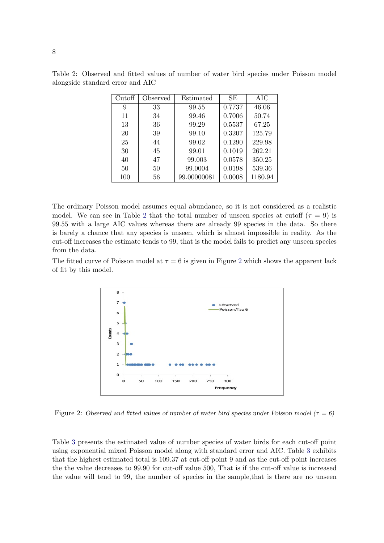| Cutoff | Observed | Estimated   | SЕ     | AIC     |
|--------|----------|-------------|--------|---------|
| 9      | 33       | 99.55       | 0.7737 | 46.06   |
| 11     | 34       | 99.46       | 0.7006 | 50.74   |
| 13     | 36       | 99.29       | 0.5537 | 67.25   |
| 20     | 39       | 99.10       | 0.3207 | 125.79  |
| 25     | 44       | 99.02       | 0.1290 | 229.98  |
| 30     | 45       | 99.01       | 0.1019 | 262.21  |
| 40     | 47       | 99.003      | 0.0578 | 350.25  |
| 50     | 50       | 99.0004     | 0.0198 | 539.36  |
| 100    | 56       | 99.00000081 | 0.0008 | 1180.94 |

<span id="page-7-0"></span>Table 2: Observed and fitted values of number of water bird species under Poisson model alongside standard error and AIC

The ordinary Poisson model assumes equal abundance, so it is not considered as a realistic model. We can see in Table [2](#page-7-0) that the total number of unseen species at cutoff ( $\tau = 9$ ) is 99.55 with a large AIC values whereas there are already 99 species in the data. So there is barely a chance that any species is unseen, which is almost impossible in reality. As the cut-off increases the estimate tends to 99, that is the model fails to predict any unseen species from the data.

<span id="page-7-1"></span>The fitted curve of Poisson model at  $\tau = 6$  is given in Figure [2](#page-7-1) which shows the apparent lack of fit by this model.



Figure 2: Observed and fitted values of number of water bird species under Poisson model ( $\tau = 6$ )

Table [3](#page-8-0) presents the estimated value of number species of water birds for each cut-off point using exponential mixed Poisson model along with standard error and AIC. Table [3](#page-8-0) exhibits that the highest estimated total is 109.37 at cut-off point 9 and as the cut-off point increases the the value decreases to 99.90 for cut-off value 500, That is if the cut-off value is increased the value will tend to 99, the number of species in the sample,that is there are no unseen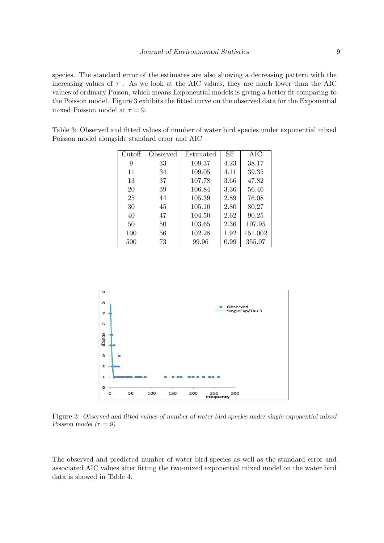species. The standard error of the estimates are also showing a decreasing pattern with the increasing values of  $\tau$ . As we look at the AIC values, they are much lower than the AIC values of ordinary Poison, which means Exponential models is giving a better fit comparing to the Poisson model. Figure [3](#page-8-1) exhibits the fitted curve on the observed data for the Exponential mixed Poisson model at  $\tau = 9$ .

<span id="page-8-0"></span>Table 3: Observed and fitted values of number of water bird species under exponential mixed Poisson model alongside standard error and AIC

| Cutoff | Observed | Estimated | SE   | AIC     |
|--------|----------|-----------|------|---------|
| 9      | 33       | 109.37    | 4.23 | 38.17   |
| 11     | 34       | 109.05    | 4.11 | 39.35   |
| 13     | 37       | 107.78    | 3.66 | 47.82   |
| 20     | 39       | 106.84    | 3.36 | 56.46   |
| 25     | 44       | 105.39    | 2.89 | 76.08   |
| 30     | 45       | 105.10    | 2.80 | 80.27   |
| 40     | 47       | 104.50    | 2.62 | 90.25   |
| 50     | 50       | 103.65    | 2.36 | 107.95  |
| 100    | 56       | 102.28    | 1.92 | 151.002 |
| 500    | 73       | 99.96     | 0.99 | 355.07  |

<span id="page-8-1"></span>

Figure 3: Observed and fitted values of number of water bird species under single exponential mixed Poisson model ( $\tau = 9$ )

The observed and predicted number of water bird species as well as the standard error and associated AIC values after fitting the two-mixed exponential mixed model on the water bird data is showed in Table [4.](#page-9-0)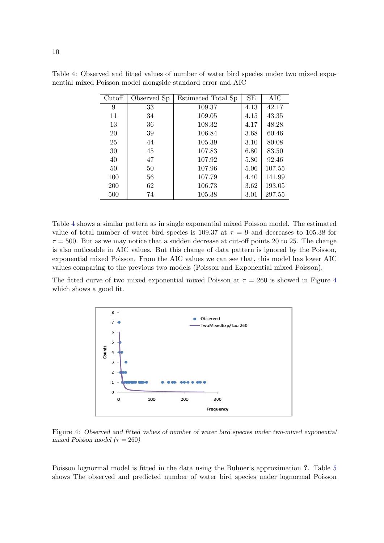| Cutoff | Observed Sp | Estimated Total Sp | SE   | AIC    |
|--------|-------------|--------------------|------|--------|
| 9      | 33          | 109.37             | 4.13 | 42.17  |
| 11     | 34          | 109.05             | 4.15 | 43.35  |
| 13     | 36          | 108.32             | 4.17 | 48.28  |
| 20     | 39          | 106.84             | 3.68 | 60.46  |
| 25     | 44          | 105.39             | 3.10 | 80.08  |
| 30     | 45          | 107.83             | 6.80 | 83.50  |
| 40     | 47          | 107.92             | 5.80 | 92.46  |
| 50     | 50          | 107.96             | 5.06 | 107.55 |
| 100    | 56          | 107.79             | 4.40 | 141.99 |
| 200    | 62          | 106.73             | 3.62 | 193.05 |
| 500    | 74          | 105.38             | 3.01 | 297.55 |

<span id="page-9-0"></span>Table 4: Observed and fitted values of number of water bird species under two mixed exponential mixed Poisson model alongside standard error and AIC

Table [4](#page-9-0) shows a similar pattern as in single exponential mixed Poisson model. The estimated value of total number of water bird species is 109.37 at  $\tau = 9$  and decreases to 105.38 for  $\tau = 500$ . But as we may notice that a sudden decrease at cut-off points 20 to 25. The change is also noticeable in AIC values. But this change of data pattern is ignored by the Poisson, exponential mixed Poisson. From the AIC values we can see that, this model has lower AIC values comparing to the previous two models (Poisson and Exponential mixed Poisson).

<span id="page-9-1"></span>The fitted curve of two mixed exponential mixed Poisson at  $\tau = 260$  is showed in Figure [4](#page-9-1) which shows a good fit.



Figure 4: Observed and fitted values of number of water bird species under two-mixed exponential mixed Poisson model ( $\tau = 260$ )

Poisson lognormal model is fitted in the data using the Bulmer's approximation ?. Table [5](#page-10-0) shows The observed and predicted number of water bird species under lognormal Poisson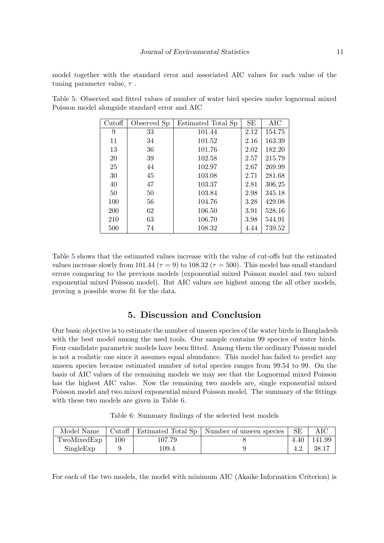model together with the standard error and associated AIC values for each value of the tuning parameter value,  $\tau$ .

| Cutoff | Observed Sp | Estimated Total Sp | SE   | AIC    |
|--------|-------------|--------------------|------|--------|
| 9      | 33          | 101.44             | 2.12 | 154.75 |
| 11     | 34          | 101.52             | 2.16 | 163.39 |
| 13     | 36          | 101.76             | 2.02 | 182.20 |
| 20     | 39          | 102.58             | 2.57 | 215.79 |
| 25     | 44          | 102.97             | 2.67 | 269.99 |
| 30     | 45          | 103.08             | 2.71 | 281.68 |
| 40     | 47          | 103.37             | 2.81 | 306.25 |
| 50     | 50          | 103.84             | 2.98 | 345.18 |
| 100    | 56          | 104.76             | 3.28 | 429.08 |
| 200    | 62          | 106.50             | 3.91 | 528.16 |
| 210    | 63          | 106.70             | 3.98 | 544.91 |
| 500    | 74          | 108.32             | 4.44 | 739.52 |

<span id="page-10-0"></span>Table 5: Observed and fitted values of number of water bird species under lognormal mixed Poisson model alongside standard error and AIC

Table [5](#page-10-0) shows that the estimated values increase with the value of cut-offs but the estimated values increase slowly from 101.44 ( $\tau = 9$ ) to 108.32 ( $\tau = 500$ ). This model has small standard errors comparing to the previous models (exponential mixed Poisson model and two mixed exponential mixed Poisson model). But AIC values are highest among the all other models, proving a possible worse fit for the data.

## 5. Discussion and Conclusion

Our basic objective is to estimate the number of unseen species of the water birds in Bangladesh with the best model among the used tools. Our sample contains 99 species of water birds. Four candidate parametric models have been fitted. Among them the ordinary Poisson model is not a realistic one since it assumes equal abundance. This model has failed to predict any unseen species because estimated number of total species ranges from 99.54 to 99. On the basis of AIC values of the remaining models we may see that the Lognormal mixed Poisson has the highest AIC value. Now the remaining two models are, single exponential mixed Poisson model and two mixed exponential mixed Poisson model. The summary of the fittings with these two models are given in Table [6.](#page-10-1)

|  | Table 6: Summary findings of the selected best models |  |  |  |  |  |
|--|-------------------------------------------------------|--|--|--|--|--|
|--|-------------------------------------------------------|--|--|--|--|--|

<span id="page-10-1"></span>

| Model Name  |     |        | Cutoff   Estimated Total Sp   Number of unseen species | SE  |                    |
|-------------|-----|--------|--------------------------------------------------------|-----|--------------------|
| TwoMixedExp | 100 | 107.79 |                                                        |     | $4.40 \mid 141.99$ |
| SingleExp   |     | 109.4  |                                                        | 4.2 | - 38.17            |

For each of the two models, the model with minimum AIC (Akaike Information Criterion) is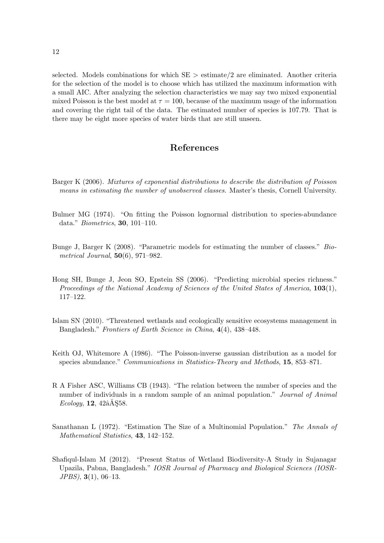selected. Models combinations for which  $SE >$  estimate/2 are eliminated. Another criteria for the selection of the model is to choose which has utilized the maximum information with a small AIC. After analyzing the selection characteristics we may say two mixed exponential mixed Poisson is the best model at  $\tau = 100$ , because of the maximum usage of the information and covering the right tail of the data. The estimated number of species is 107.79. That is there may be eight more species of water birds that are still unseen.

## References

- <span id="page-11-8"></span>Barger K (2006). Mixtures of exponential distributions to describe the distribution of Poisson means in estimating the number of unobserved classes. Master's thesis, Cornell University.
- <span id="page-11-4"></span>Bulmer MG (1974). "On fitting the Poisson lognormal distribution to species-abundance data." Biometrics, 30, 101–110.
- <span id="page-11-3"></span>Bunge J, Barger K (2008). "Parametric models for estimating the number of classes." Biometrical Journal,  $50(6)$ , 971–982.
- <span id="page-11-2"></span>Hong SH, Bunge J, Jeon SO, Epstein SS (2006). "Predicting microbial species richness." Proceedings of the National Academy of Sciences of the United States of America, 103(1), 117–122.
- <span id="page-11-0"></span>Islam SN (2010). "Threatened wetlands and ecologically sensitive ecosystems management in Bangladesh." Frontiers of Earth Science in China, 4(4), 438–448.
- <span id="page-11-5"></span>Keith OJ, Whitemore A (1986). "The Poisson-inverse gaussian distribution as a model for species abundance." Communications in Statistics-Theory and Methods, 15, 853–871.
- <span id="page-11-6"></span>R A Fisher ASC, Williams CB (1943). "The relation between the number of species and the number of individuals in a random sample of an animal population." Journal of Animal  $Ecology, 12, 42âA§58.$
- <span id="page-11-7"></span>Sanathanan L (1972). "Estimation The Size of a Multinomial Population." The Annals of Mathematical Statistics, 43, 142–152.
- <span id="page-11-1"></span>Shafiqul-Islam M (2012). "Present Status of Wetland Biodiversity-A Study in Sujanagar Upazila, Pabna, Bangladesh." IOSR Journal of Pharmacy and Biological Sciences (IOSR-JPBS), 3(1), 06–13.